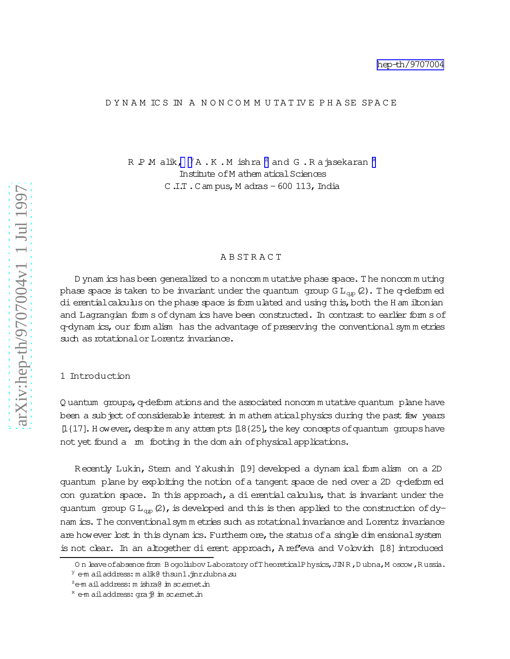#### D Y N A M IC S IN A N O N C O M M U TA T IV E P H A SE SPA C E

R  $P$  M alik,  $\,{}^{\text{y}}$ A .K .M ishra  $^{\text{z}}$  and G .R a jasekaran  $^{\text{x}}$ Institute of M athem atical Sciences  $C.I.T. C am pus, M adras -600 113, India$ 

#### A B ST R A C T

D ynam icshasbeen generalized to a noncom m utative phase space. The noncom m uting phase space is taken to be invariant under the quantum  $\,$  group G  $\text{L}_{\text{qp}}\left(2\right)$  . The q-deform ed dierential calculus on the phase space is form ulated and using this, both the H am iltonian and Lagrangian form s of dynam ics have been constructed. In contrast to earlier form s of q-dynam ics, our form alism has the advantage of preserving the conventional symm etries such as rotational or Lorentz invariance.

# 1 Introduction

Q uantum groups, q-deform ationsand the associated noncom m utative quantum plane have been a subject of considerable interest in m athem aticalphysics during the past few years  $[1{17}]$ . H ow ever, despite m any attem pts  $[18{25}]$ , the key concepts of quantum groups have not yet found a m footing in the dom ain of physical applications.

Recently Lukin, Stem and Yakushin [19] developed a dynam ical form alism on a 2D quantum plane by exploiting the notion ofa tangent space dened over a 2D q-deform ed con quration space. In this approach, a dierential calculus, that is invariant under the quantum group  $GL_{qp}(2)$ , is developed and this is then applied to the construction of dynam ics. The conventionalsym m etries such as rotational invariance and Lorentz invariance are however lost in this dynam ics. Furtherm ore, the status of a single dim ensional system is not clear. In an altogether dierent approach, A ref'eva and Volovich [18] introduced

On leave of absence from Bogoliubov Laboratory of TheoreticalPhysics, JIN R, Dubna, M oscow, Russia.  $Y$  e-m ail address: m alik@ thsun1.jinr.dubna.su

 $z$ e-m ail address: m ishra $\theta$  in sc.ernet.in

 $x$  e-m ail address: gra $\phi$  in scemet.in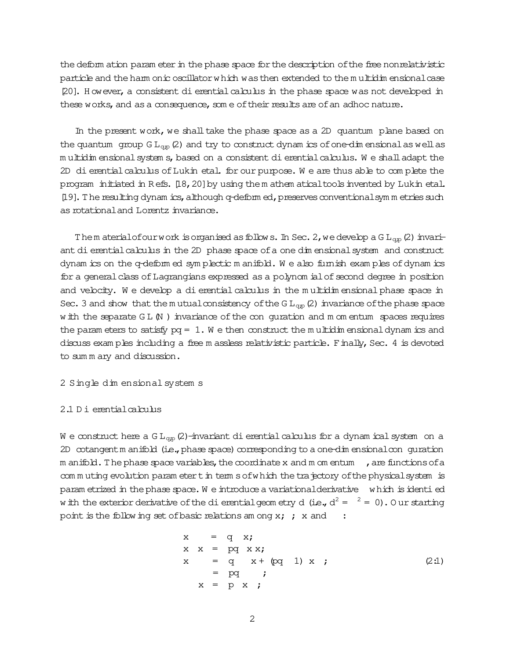the deform ation param eter in the phase space for the description of the free nonrelativistic particle and the harm onic oscillator which was then extended to the multidim ensional case [20]. H owever, a consistent dierential calculus in the phase space was not developed in these works, and as a consequence, som e of their results are of an adhoc nature.

In the present work, we shall take the phase space as a 2D quantum plane based on the quantum group  $GL_{qp}(2)$  and try to construct dynam ics of one-dim ensional as well as m ultidim ensionalsystem s,based on a consistent dierentialcalculus. W e shalladapt the 2D dierential calculus of Lukin etal. for our purpose. We are thus able to complete the program initiated in Refs. [18, 20] by using the m athem atical tools invented by Lukin etal. [19]. The resulting dynam ics, although q-deform ed, preserves conventionalsym m etries such as rotational and Lorentz invariance.

Them aterialofourwork isorganised as follows. In Sec. 2, we develop a G  $L_{qp}(2)$  invariant dierentialcalculus in the 2D phase space ofa one dim ensionalsystem and construct dynam ics on the q-deform ed sym plectic m anifold. W e also furnish exam ples ofdynam ics for a general class of Lagrangians expressed as a polynom ial of second degree in position and velocity. We develop a dierential calculus in the multidim ensional phase space in Sec. 3 and show that the m utual consistency of the G  $L_{qp}(2)$  invariance of the phase space w ith the separate  $GL(N)$  invariance of the con quration and m om entum spaces requires the param eters to satisfy  $pq = 1$ . We then construct the multidim ensional dynam ics and discuss exam ples including a free m assless relativistic particle. Finally, Sec. 4 is devoted to sum m ary and discussion.

2 Single dim ensional system s

#### 2.1 D i erentialcalculus

W e construct here a  $GL_{qp}(2)$ -invariant dierential calculus for a dynam ical system on a 2D cotangent m anifold (i.e., phase space) corresponding to a one-dim ensional con guration m anifold. The phase space variables, the coordinate x and m om entum  $\overline{\phantom{a}}$ , are functions of a com m uting evolution param etert in term sofwhich the trajectory of the physical system is param etrized in the phase space. We introduce a variational derivative which is identied w ith the exterior derivative of the dierential geometry d (i.e.,  $d^2 = \frac{2}{3} = 0$ ). Our starting point is the following set of basic relations am ong  $x;$ ;  $x$  and :

$$
x = q x;
$$
  
\n
$$
x x = pq x x;
$$
  
\n
$$
x = q x + (pq 1) x ;
$$
  
\n
$$
= pq ;
$$
  
\n
$$
x = p x ;
$$
  
\n(2:1)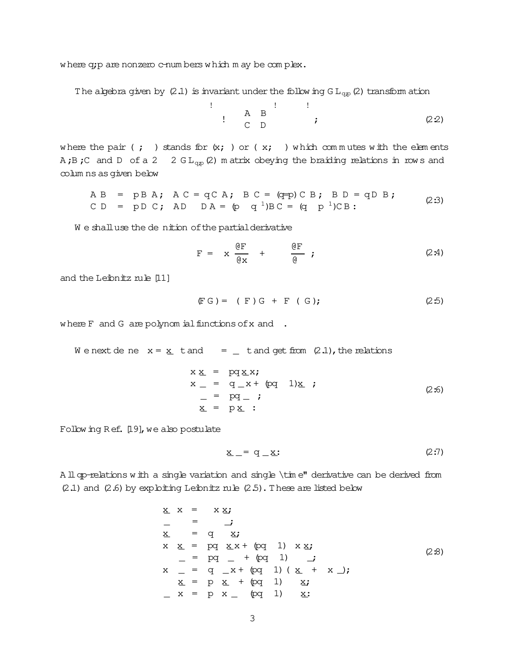where q;p are nonzero c-numbers which m ay be complex.

 $\mathbf{I}$ 

The algebra given by (2.1) is invariant under the following  $GL_{qp}(2)$  transform ation

$$
\begin{array}{cccc}\n & A & B & \cdot & \cdot & \cdot \\
 & A & B & \cdot & \cdot & \cdot & \cdot \\
 & C & D & \cdot & \cdot & \cdot & \cdot & \cdot\n\end{array}
$$
 (2.2)

where the pair (; ) stands for  $(x; )$  or ( $x;$  ) which commutes with the elements A;B;C and D of a 2  $2 \text{ GL}_{qp}(2)$  m atrix obeying the braiding relations in rows and columns as given below

$$
AB = pBA; AC = qCA; BC = (q=p)CB; BD = qDB;
$$
  
\nCD = pDC; AD DA = (p q<sup>1</sup>)BC = (q p<sup>1</sup>)CB; (2:3)

We shall use the denition of the partial derivative

$$
F = x \frac{\partial F}{\partial x} + \frac{\partial F}{\partial y} ; \qquad (2.4)
$$

and the Leibnitz rule [11]

$$
(FG) = (F)G + F (G); \t(2:5)
$$

where  $F$  and  $G$  are polynomial functions of  $x$  and .

We next de ne  $x = \underline{x}$  t and  $y = \underline{y}$  t and get from (2.1), the relations

$$
x \underline{x} = pq \underline{x}x;
$$
  
\n
$$
x = q_x + (pq \ 1) \underline{x} ;
$$
  
\n
$$
= pq_x ;
$$
  
\n
$$
\underline{x} = p \underline{x} ;
$$
  
\n(2.6)

Following Ref. [19], we also postulate

$$
\underline{x} = q \underline{x} \tag{2.7}
$$

A II op-relations with a single variation and single \time" derivative can be derived from  $(2.1)$  and  $(2.6)$  by exploiting Leibnitz rule  $(2.5)$ . These are listed below

$$
\begin{array}{rcl}\n\underline{x} & x & = & x \underline{x} ; \\
- & = & - \\
\underline{x} & = & q \underline{x} ; \\
x & \underline{x} & = & pq \underline{x} x + (pq \ 1) \underline{x} \underline{x} ; \\
- & = & pq \ - + (pq \ 1) \ - \underline{i} \\
x & = & q \ - x + (pq \ 1) \ (\underline{x} + x \ ) ; \\
\underline{x} & = & p \ \underline{x} + (pq \ 1) \ \underline{x} ; \\
-x & = & p \ x - (pq \ 1) \ \underline{x} ;\n\end{array} (2.8)
$$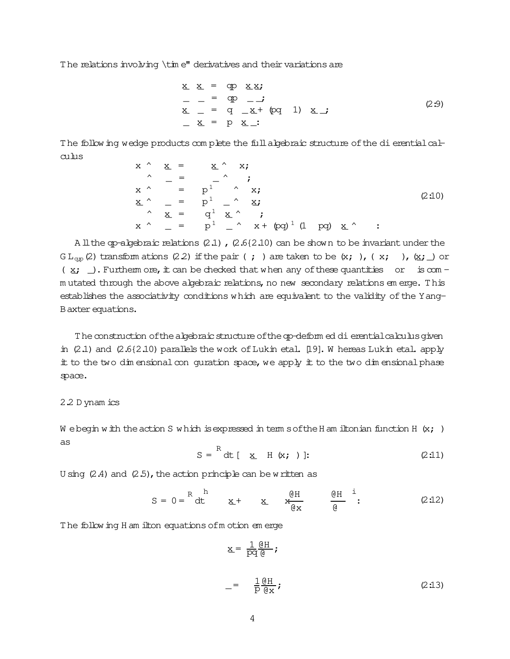The relations involving \time" derivatives and their variations are

$$
\begin{array}{rcl}\n\underline{\mathbf{x}} & \underline{\mathbf{x}} & = & \text{qp} \quad \underline{\mathbf{x}} \underline{\mathbf{x}} \\
- & = & \text{qp} \quad -\underline{\mathbf{j}} \\
\underline{\mathbf{x}} & = & \text{q} \quad -\underline{\mathbf{x}} + \text{ (pq} \quad 1) \quad \underline{\mathbf{x}} \underline{\mathbf{j}} \\
\underline{\mathbf{x}} & = & \text{p} \quad \underline{\mathbf{x}} \underline{\mathbf{j}}.\n\end{array} \tag{2.9}
$$

The follow ing wedge products complete the full algebraic structure of the dierential cal $c$ ulus

$$
x \wedge x = x \wedge x;
$$
  
\n
$$
\wedge = p^{1} \wedge x;
$$
  
\n
$$
\wedge = p^{1} - \wedge x;
$$
  
\n
$$
\wedge x = p^{1} - \wedge x;
$$
  
\n
$$
\wedge x = q^{1} x \wedge ;
$$
  
\n
$$
\wedge y = p^{1} - \wedge x + (pq)^{1} (1 pq) x \wedge ;
$$
  
\n(2:10)

A ll the qp-algebraic relations  $(2.1)$ ,  $(2.6(2.10)$  can be shown to be invariant under the  $GL_{qp}(2)$  transform ations (2.2) if the pair (; ) are taken to be (x; ), (x; ), (x; ) or (x; ). Furtherm ore, it can be checked that when any of these quantities or is com mutated through the above algebraic relations, no new secondary relations em erge. This establishes the associativity conditions which are equivalent to the validity of the Yang-B axter equations.

The construction of the algebraic structure of the qp-deform ed di erential calculus given in  $(2.1)$  and  $(2.6\{2.10\})$  parallels the work of Lukin etal. [19]. W hereas Lukin etal. apply it to the two dimensional con quration space, we apply it to the two dimensional phase space.

### 2.2 D ynam ics

We begin with the action S which is expressed in term sof the H am iltonian function H  $(x; )$ as

$$
S = \begin{bmatrix} R & R \\ R & R \end{bmatrix} \quad \text{and} \quad R = \begin{bmatrix} 1 & 0 \\ 0 & 1 \end{bmatrix}
$$

U sing  $(2.4)$  and  $(2.5)$ , the action principle can be written as

$$
S = 0 = \begin{bmatrix} R & h \\ dt & \underline{x} + \underline{x} & \underline{w} \\ dt & \underline{w} + \underline{w} & \underline{w} \end{bmatrix} \qquad \qquad \begin{aligned} \mathcal{Q}H & \underline{h} \\ \mathcal{Q}H & \underline{w} \\ \mathcal{Q}H & \underline{w} \end{aligned} \qquad (2.12)
$$

The following H am ilton equations of motion em erge

$$
\underline{x} = \frac{1}{pq} \frac{dH}{d}
$$
\n
$$
= \frac{1}{p} \frac{dH}{dx}
$$
\n(2.13)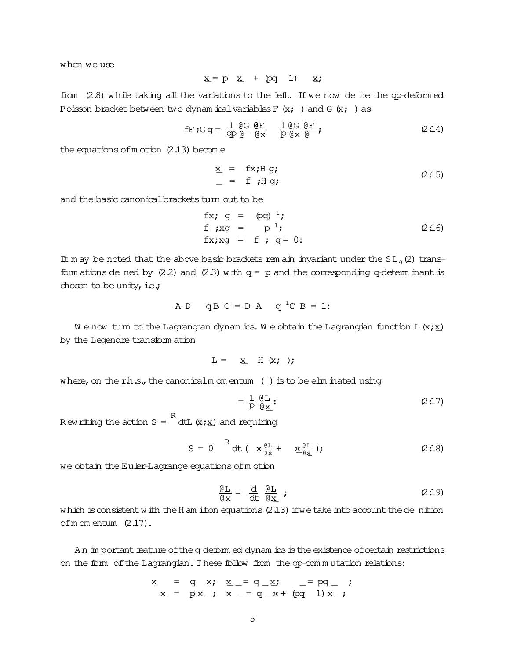when we use

 $x = p$   $x + (pq \t 1)$   $x;$ 

from (2.8) while taking all the variations to the left. If we now de ne the qp-deformed Poisson bracket between two dynam icalvariables  $F(x; )$  and  $G(x; )$  as

$$
\text{fF } \mathbf{G} \mathbf{G} = \frac{1}{\text{d} \rho} \frac{\text{d} \mathbf{G}}{\text{d} \rho} \frac{\text{d} \mathbf{F}}{\text{d} \mathbf{x}} \quad \frac{1}{\rho} \frac{\text{d} \mathbf{G}}{\text{d} \mathbf{x}} \frac{\text{d} \mathbf{F}}{\text{d} \rho} \mathbf{F} \tag{2.14}
$$

the equations of m otion  $(2.13)$  become

$$
\underline{x} = f\dot{x} \cdot H g; \qquad (2:15)
$$

and the basic canonical brackets turn out to be

fx;g = (pq) 1; f;xg = p 1; fx;xg = f;g = 0: (2:16)

It m ay be noted that the above basic brackets rem ain invariant under the  $SL_q(2)$  transform ations de ned by  $(2.2)$  and  $(2.3)$  with  $q = p$  and the corresponding q-determ inant is chosen to be unity, i.e.;

$$
AD \t qB C = D A \t q^1C B = 1:
$$

W e now turn to the Lagrangian dynam ics. We obtain the Lagrangian function L  $(x; x)$ by the Legendre transform ation

$$
L = \underline{x} H(x; )
$$

where, on the r.h.s., the canonicalm om entum ( ) is to be elim inated using

$$
= \frac{1}{p} \frac{\mathcal{Q}L}{\mathcal{Q}L} : \tag{2.17}
$$

R ew riting the action  $S =$ R dtL $(x; x)$  and requiring

$$
S = 0 \quad R \, dt \left( x \frac{\theta L}{\theta x} + x \frac{\theta L}{\theta x} \right); \tag{2.18}
$$

we obtain the Euler-Lagrange equations of motion

$$
\frac{\mathbf{GL}}{\mathbf{G}\mathbf{x}} = \frac{\mathbf{d}}{\mathbf{d}\mathbf{t}} \frac{\mathbf{GL}}{\mathbf{G}\mathbf{x}} \quad ; \tag{2.19}
$$

which is consistent with the H am ilton equations  $(2.13)$  if we take into account the de nition ofm om entum (2.17).

An im portant feature of the q-deform ed dynam ics is the existence of certain restrictions on the form of the Lagrangian. These follow from the qp-com mutation relations:

$$
x = q x; x_{-} = q_{x}; - = pq_{-};
$$
  
 $x = p x; x_{-} = q_{x} + (pq_{1}) x;$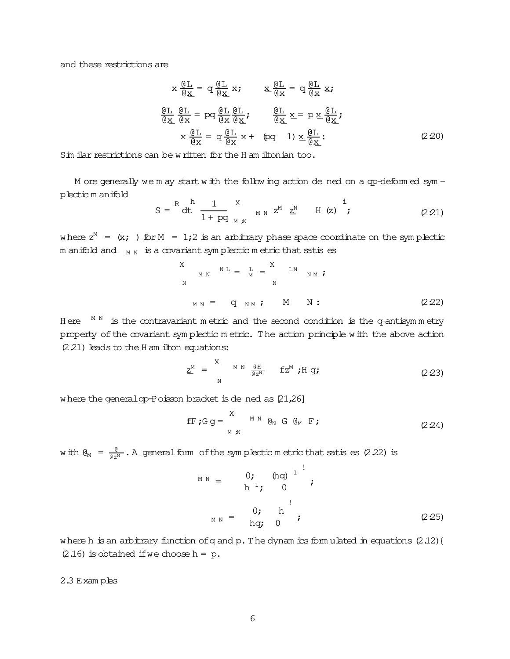and these restrictions are

$$
x \frac{\partial \underline{L}}{\partial x} = q \frac{\partial \underline{L}}{\partial x} x; \qquad x \frac{\partial \underline{L}}{\partial x} = q \frac{\partial \underline{L}}{\partial x} x;
$$
  

$$
\frac{\partial \underline{L}}{\partial x} \frac{\partial \underline{L}}{\partial x} = pq \frac{\partial \underline{L}}{\partial x} \frac{\partial \underline{L}}{\partial x}; \qquad \frac{\partial \underline{L}}{\partial x} = p \times \frac{\partial \underline{L}}{\partial x};
$$
  

$$
\frac{\partial \underline{L}}{\partial x} \frac{\partial \underline{L}}{\partial x} = q \frac{\partial \underline{L}}{\partial x} x; \qquad \frac{\partial \underline{L}}{\partial x} = q \frac{\partial \underline{L}}{\partial x} x;
$$
  
(2.20)

Sim ilar restrictions can be written for the H am iltonian too.

M ore generally we m ay start with the following action de ned on a qp-deformed sym plectic m anifold

$$
S = \stackrel{R}{\text{dt}} \stackrel{h}{\frac{1}{1 + pq}} \stackrel{X}{\underset{M \text{ N}}{N}} \quad \text{M N} \quad Z^M \quad \underline{Z}^N \quad H \quad (z) \quad \stackrel{i}{\text{;}} \tag{2.21}
$$

where  $z^M = (x; )$  for  $M = 1;2$  is an arbitrary phase space coordinate on the symplectic m anifold and  $\parallel_{\rm M~N}$  is a covariant symplectic metric that satis es

$$
X_{MM} N^L = I_{M} = \n_{N} N^L
$$
\n
$$
N^N = \n_{M} N^L, \quad M^N = \n_{N} N^L. \tag{222}
$$

H ere  $M N N N$  is the contravariant m etric and the second condition is the q-antisymm etry property of the covariant sym plectic m etric. The action principle with the above action  $(2.21)$  leads to the H am ilton equations:

$$
\underline{z}^{M} = \sum_{N}^{N} \sum_{\alpha \in \mathbb{Z}^{N}}^{M} f z^{M} ; H g; \qquad (2.23)
$$

where the general qp-Poisson bracket is de ned as [21,26]

$$
\text{fF}; G g = \sum_{M \text{ in } N}^{X} \mathbb{G} \mathbb{G} \mathbb{G} \mathbb{G} \text{ F}; \qquad (2.24)
$$

with  $\Theta_M$  =  $\frac{\theta}{e^{\frac{M}{2}}}.$  A general form of the symplectic metric that satis es (2.22) is

$$
M N N = \begin{pmatrix} 0; & (hq)^{1} \\ h^{1}; & 0 \end{pmatrix};
$$
  
\n
$$
M N N = \begin{pmatrix} 0; & h \\ hq; & 0 \end{pmatrix};
$$
 (2.25)

where h is an arbitrary function of q and p. The dynam ics form ulated in equations  $(2.12)$  {  $(2.16)$  is obtained if we choose h = p.

2.3 Exam ples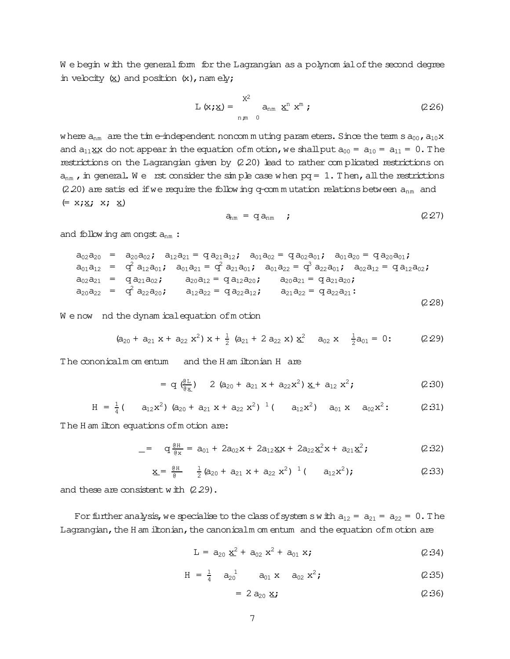We begin with the general form for the Lagrangian as a polynomial of the second degree in velocity  $(x)$  and position  $(x)$ , namely;

$$
L(x; \underline{x}) = \sum_{n,m=0}^{X^2} a_{nm} \underline{x}^n x^m
$$
 (2.26)

where  $a_{nm}$  are the time-independent noncommuting parameters. Since the term s  $a_{00}$ ,  $a_{10}x$ and  $a_{11}$ xx do not appear in the equation of motion, we shall put  $a_{00} = a_{10} = a_{11} = 0$ . The restrictions on the Lagrangian given by (2.20) lead to rather complicated restrictions on  $a_{nm}$ , in general. We rst consider the simple case when  $pq = 1$ . Then, all the restrictions (2.20) are satis ed if we require the following q-commutation relations between  $a_{nm}$  and  $(= x; \underline{x}; x; \underline{x})$ 

$$
a_{nm} = q a_{nm} \qquad (2.27)
$$

and following am ongst  $a_{nm}$ :

$$
a_{01}a_{12} = a_{20}a_{02}; a_{12}a_{21} = q a_{21}a_{12}; a_{01}a_{02} = q a_{02}a_{01}; a_{01}a_{20} = q a_{20}a_{01};
$$
  
\n
$$
a_{01}a_{12} = q^2 a_{12}a_{01}; a_{01}a_{21} = q^2 a_{21}a_{01}; a_{01}a_{22} = q^3 a_{22}a_{01}; a_{02}a_{12} = q a_{12}a_{02};
$$
  
\n
$$
a_{02}a_{21} = q a_{21}a_{02}; a_{20}a_{12} = q a_{12}a_{20}; a_{20}a_{21} = q a_{21}a_{20};
$$
  
\n
$$
a_{20}a_{22} = q^2 a_{22}a_{20}; a_{12}a_{22} = q a_{22}a_{12}; a_{21}a_{22} = q a_{22}a_{21}:
$$
  
\n(2.28)

We now nd the dynam ical equation of motion

$$
(a_{20} + a_{21} x + a_{22} x^2) x + \frac{1}{2} (a_{21} + 2 a_{22} x) x^2 \t a_{02} x \t \frac{1}{2} a_{01} = 0:
$$
 (2.29)

The cononicalm om entum and the H am iltonian H are

$$
= q \left(\frac{e_L}{e_{\mathbf{X}}}\right) \quad 2 \left(a_{20} + a_{21} \mathbf{x} + a_{22} \mathbf{x}^2\right) \mathbf{x} + a_{12} \mathbf{x}^2; \tag{2.30}
$$

$$
H = \frac{1}{4} (a_{12}x^2) (a_{20} + a_{21}x + a_{22}x^2)^{-1} (a_{12}x^2) a_{01}x a_{02}x^2
$$
 (2:31)

The H am ilton equations of m otion are:

$$
- = q \frac{\theta H}{\theta x} = a_{01} + 2a_{02}x + 2a_{12}x + 2a_{22}x^2x + a_{21}x^2;
$$
 (2:32)

$$
\underline{x} = \frac{\underline{\theta}H}{\underline{\theta}} \quad \frac{1}{2} (a_{20} + a_{21} x + a_{22} x^2)^{-1} (a_{12} x^2); \tag{2.33}
$$

and these are consistent with  $(2.29)$ .

For further analysis, we specialise to the class of system s with  $a_{12} = a_{21} = a_{22} = 0$ . The Lagrangian, the H am iltonian, the canonicalm om entum and the equation of m otion are

$$
L = a_{20} \underline{x}^2 + a_{02} x^2 + a_{01} x; \qquad (2.34)
$$

$$
H = \frac{1}{4} \quad a_{20}^{1} \qquad a_{01} \times \quad a_{02} \times^{2}; \qquad (2.35)
$$

$$
= 2 a_{20} x \mathbf{j} \tag{2.36}
$$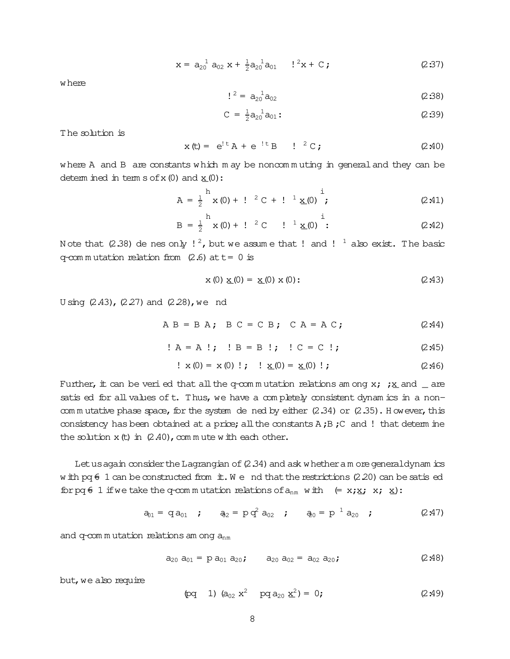$$
x = a_{20}^{1} a_{02} x + \frac{1}{2} a_{20}^{1} a_{01} \t!^{2} x + C;
$$
 (2.37)

where

$$
l^2 = a_{20}^1 a_{02} \tag{2.38}
$$

$$
C = \frac{1}{2} a_{20}^{1} a_{01}:
$$
 (2:39)

The solution is

$$
x(t) = e^{t} A + e^{t} B
$$
  $l^2 C$ ; (2.40)

where A and B are constants which may be noncommuting in general and they can be determ ined in term  $s$  of  $x(0)$  and  $x(0)$ :

$$
A = \frac{1}{2}^{h} x (0) + !^{-2} C + !^{-1} \underline{x} (0) \stackrel{i}{\cdot}
$$
 (2.41)

$$
B = \frac{1}{2}^{h} x (0) + !^{-2} C \t!^{-1} \underline{x} (0) \t! :
$$
 (2.42)

Note that (2.38) de nes only  $!^2$ , but we assume that ! and !  $\frac{1}{4}$  also exist. The basic q-com mutation relation from  $(2.6)$  at t= 0 is

$$
x(0) \underline{x}(0) = \underline{x}(0) x(0); \qquad (2.43)
$$

U sing  $(2.43)$ ,  $(2.27)$  and  $(2.28)$ , we nd

$$
AB = B A; B C = C B; C A = A C; (2.44)
$$

$$
! A = A !; I B = B !; I C = C !;
$$
 (2.45)

$$
\therefore
$$
 x (0) = x (0)  $\therefore$   $\therefore$   $\underline{x}(0) = \underline{x}(0) \therefore$  (2.46)

Further, it can be veri ed that all the q-commutation relations among x;  $\frac{1}{2}$  and \_ are satis ed for all values of t. Thus, we have a completely consistent dynamics in a noncommutative phase space, for the system dened by either  $(2.34)$  or  $(2.35)$ . However, this consistency has been obtained at a price; all the constants A; B; C and ! that determ ine the solution  $x(t)$  in  $(2.40)$ , commute with each other.

Let us again consider the Lagrangian of  $(2.34)$  and ask whether a m ore general dynamics w ith pq  $6$  1 can be constructed from it. We nd that the restrictions (2.20) can be satis ed for pq  $\epsilon$  1 if we take the q-commutation relations of  $a_{nm}$  with  $(= x; \underline{x}; x; \underline{x})$ :

$$
a_{01} = qa_{01} \t a_{22} = pq^2 a_{02} \t a_{02} = pq^2 a_{03} \t (2.47)
$$

and  $q$ -com mutation relations am ong  $a_{nm}$ 

$$
a_{20} a_{01} = p a_{01} a_{20}; \qquad a_{20} a_{02} = a_{02} a_{20}; \qquad (2.48)
$$

but, we also require

$$
(pq \t 1) (a_{02} x^2 p q_{20} x^2) = 0;
$$
 (2.49)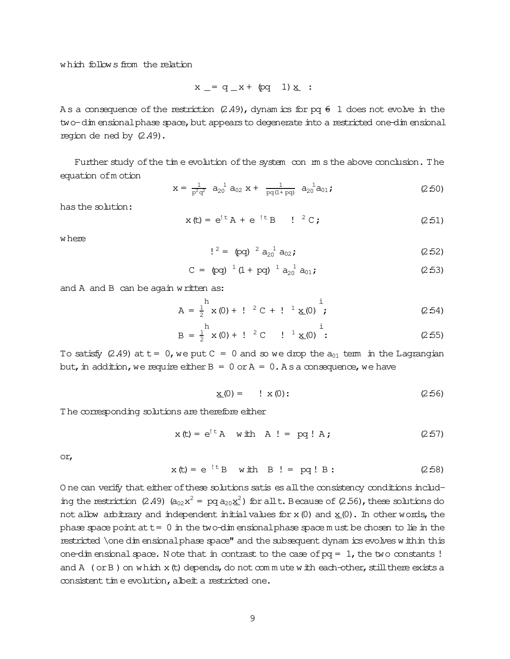$$
x = q_x + (pq_1)x
$$
 :

As a consequence of the restriction (2.49), dynam ics for pq  $6\sqrt{1}$  does not evolve in the two-dim ensional phase space, but appears to degenerate into a restricted one-dim ensional region de ned by  $(2.49)$ .

Further study of the time evolution of the system con mm s the above conclusion. The equation of motion

$$
x = \frac{1}{p^2 q^2} a_{20}^{1} a_{02} x + \frac{1}{pq(1+pq)} a_{20}^{1} a_{01}; \qquad (2.50)
$$

has the solution:

$$
x(t) = e^{t} A + e^{t} B
$$
  $l^2 C;$  (2.51)

w here

$$
!^2 = \text{(pq)}^2 a_{20}^{-1} a_{02}; \qquad (2.52)
$$

$$
C = (pq)^{-1} (1 + pq)^{-1} a_{20}^{-1} a_{01}; \qquad (2:53)
$$

and A and B can be again written as:

$$
A = \frac{1}{2}^{h} x (0) + 1^{2} C + 1^{1} \underline{x} (0) \stackrel{i}{\cdot}
$$
 (2:54)

$$
B = \frac{1}{2} x (0) + 1^2 C \t 1^1 \underline{x} (0)^{\frac{1}{2}}.
$$
 (2.55)

To satisfy (2.49) at  $t = 0$ , we put  $C = 0$  and so we drop the  $a_{01}$  term in the Lagrangian but, in addition, we require either  $B = 0$  or  $A = 0$ . As a consequence, we have

$$
\underline{x}(0) = \underline{x}(0); \qquad (2.56)
$$

The corresponding solutions are therefore either

$$
x(t) = e^{t} A \quad \text{with} \quad A \cdot t = pq \cdot A \tag{2.57}
$$

or,

$$
x(t) = e^{-t}B \quad \text{with} \quad B := pq:B:
$$
 (2:58)

One can verify that either of these solutions satis es all the consistency conditions including the restriction (2.49)  $(a_{02}x^2 = pq a_{20}x^2)$  for all t. Because of (2.56), these solutions do not allow arbitrary and independent initial values for  $x(0)$  and  $x(0)$ . In other words, the phase space point at  $t = 0$  in the two-dim ensional phase space must be chosen to lie in the restricted \one dimensional phase space" and the subsequent dynam ics evolves within this one-dim ensional space. Note that in contrast to the case of  $pq = 1$ , the two constants! and A (or B) on which x (t) depends, do not commute with each-other, still there exists a consistent time evolution, albeit a restricted one.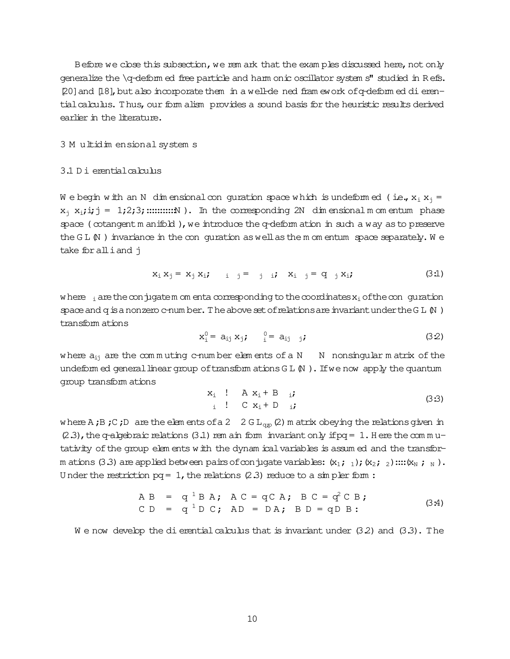Before we close this subsection, we rem ark that the examples discussed here, not only generalize the \q-deform ed free particle and harm onic oscillator system s" studied in Refs. [20] and [18], but also incorporate them in a well-de ned fram ework of q-deform ed di erential calculus. Thus, our form alism provides a sound basis for the heuristic results derived earlier in the literature.

#### 3 M ultidim ensional system s

# 3.1 D i erential calculus

We begin with an N dimensional con quration space which is undeformed (i.e.,  $x_i x_i =$  $x_i$ ,  $x_i$ ;  $i, j = 1,2,3$ ; ............... In the corresponding 2N dimensional momentum phase space (cotangent m anifold), we introduce the q-deform ation in such a way as to preserve the  $GL$   $\mathbb N$  ) invariance in the conguration as well as the m om entum space separately. We take for all i and j

$$
x_i x_j = x_j x_i; \qquad i \quad j = j \quad i \quad x_i \quad j = q \quad j x_i; \tag{3.1}
$$

where  $\frac{1}{1}$  are the conjugatem om enta corresponding to the coordinates  $x_i$  of the conguration space and q is a nonzero c-num ber. The above set of relations are invariant under the G L  $\mathbb N$ ) transform ations

$$
x_1^0 = a_{ij} x_j; \t 0 = a_{ij} j;
$$
 (32)

where  $a_{ij}$  are the commuting c-number elements of a N  $\;$  N nonsingular matrix of the undeform ed general linear group of transform ations  $GL(N)$ . If we now apply the quantum group transform ations

$$
x_i : A x_i + B \t i
$$
  
\n
$$
i : C x_i + D \t i
$$
 (33)

where A;B;C;D are the elements of a 2  $2 \text{ G L}_{qp}(2)$  m atrix obeying the relations given in  $(2.3)$ , the q-algebraic relations  $(3.1)$  rem ain form invariant only if pq = 1. Here the commutativity of the group elements with the dynam ical variables is assumed and the transform ations (3.3) are applied between pairs of conjugate variables:  $(x_1; 1); (x_2; 2)$  ...: $(x_N; 1_N)$ . Under the restriction  $pq = 1$ , the relations (2.3) reduce to a simpler form :

$$
AB = q1BA; AC = qCA; BC = q2CB;
$$
  
CD = q<sup>1</sup>DC; AD = DA; BD = qDB: (3:4)

We now develop the dierential calculus that is invariant under  $(3.2)$  and  $(3.3)$ . The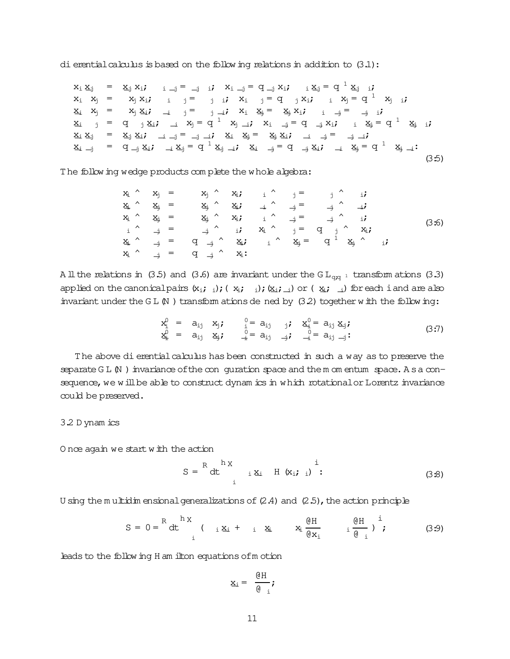dierential calculus is based on the following relations in addition to  $(3.1)$ :

 $x_i \underline{x}_j$  =  $\underline{x}_j x_i; i \underline{j} = \underline{j} \underline{i}; X_{i \underline{j}} = q \underline{j} x_i; i \underline{x}_j = q^{\underline{1}} \underline{x}_j; i$  $x_i$   $x_j$  =  $x_j$   $x_i$ ;  $i$   $j$  = j i;  $x_i$   $j$  = q j  $x_i$ ;  $i$   $x_j$  = q<sup>1</sup>  $x_j$  i;  $x_i$   $x_j$  =  $x_j$   $x_{i}$ ;  $\frac{1}{i}$   $\frac{1}{j}$  =  $\frac{1}{j}$   $\frac{1}{k}$ ;  $x_i$   $x_{i}$  =  $x_{i}$   $x_{i}$ ;  $i \neq i$  i;  $x_i$  j = q j  $x_i$ ; i  $x_j$  = q  $^1$   $x_j$  i;  $x_i$  i = q i  $x_i$ ; i  $x_j$  = q  $^1$   $x_j$  i;  $\underline{x}_i \; \underline{x}_j \quad = \quad \underline{x}_j \; \underline{x}_i; \quad \underline{\ } \; \underline{\ } \; \underline{\ } \; \underline{\ } \; \underline{\ } \; \underline{\ } \; \underline{\ } \; \underline{\ } \; \underline{\ } \; \underline{\ } \; \underline{\ } \; \underline{\ } \; \underline{\ } \; \underline{\ } \; \underline{\ } \; \underline{\ } \; \underline{\ } \; \underline{\ } \; \underline{\ } \; \underline{\ } \; \underline{\ } \; \underline{\ } \; \underline{\ } \; \underline{\ } \; \underline{\ } \; \underline{\ } \; \underline{\ } \; \underline{\ } \; \underline{\ } \; \underline{\ } \; \underline{\ } \; \$  $x_i \rightarrow$  =  $q \rightarrow x_i$ ;  $\rightarrow x_j = q^1 x_j \rightarrow x_i$ ;  $x_i \rightarrow$  =  $q \rightarrow x_i$ ;  $\rightarrow x_j = q^1 x_j \rightarrow$  $(3:5)$ 

The following wedge products complete the whole algebra:

$$
x_{1} \wedge x_{j} = x_{j} \wedge x_{i} \qquad i \wedge j = j \wedge ii
$$
\n
$$
x_{1} \wedge x_{j} = x_{j} \wedge x_{i} \qquad i \wedge j = j \wedge ii
$$
\n
$$
x_{1} \wedge x_{j} = x_{j} \wedge x_{i} \qquad i \wedge j = j \wedge ii
$$
\n
$$
x_{1} \wedge x_{j} = x_{j} \wedge x_{i} \qquad i \wedge j = j \wedge ii
$$
\n
$$
x_{1} \wedge j = j \wedge x_{i} \qquad j = q \qquad j \wedge x_{i}
$$
\n
$$
x_{1} \wedge j = q \qquad j \wedge x_{i} \qquad j = q \qquad j \wedge x_{i}
$$
\n
$$
x_{1} \wedge j = q \qquad j \wedge x_{i}
$$
\n
$$
x_{1} \wedge j = q \qquad j \wedge x_{i}
$$
\n
$$
x_{1} \wedge j = q \qquad j \wedge x_{i}
$$
\n
$$
x_{1} \wedge j = q \qquad j \wedge x_{i}
$$
\n
$$
x_{1} \wedge j = q \qquad j \wedge x_{i}
$$
\n
$$
x_{1} \wedge j = q \qquad j \wedge x_{i}
$$
\n
$$
x_{1} \wedge j = q \qquad j \wedge x_{i}
$$
\n
$$
x_{1} \wedge j = q \qquad j \wedge x_{i}
$$
\n
$$
x_{1} \wedge j = q \qquad j \wedge x_{i}
$$
\n
$$
x_{1} \wedge j = q \qquad j \wedge x_{i}
$$
\n
$$
x_{1} \wedge j = q \qquad j \wedge x_{i}
$$
\n
$$
x_{1} \wedge j = q \qquad j \wedge x_{i}
$$
\n
$$
x_{1} \wedge j = q \qquad j \wedge x_{i}
$$
\n
$$
x_{1} \wedge j = q \qquad j \wedge x_{i}
$$
\n
$$
x_{1} \wedge j = q \qquad j \wedge x_{i}
$$
\n
$$
x_{1} \wedge j = q \qquad j \wedge x_{i}
$$
\n
$$
x
$$

A ll the relations in (3.5) and (3.6) are invariant under the G L<sub>qiq</sub> 1 transform ations (3.3) applied on the canonical pairs  $(x_i; i_i); (x_i; i_i); (x_i; i_i)$  or ( $x_i; i_i$ ) for each i and are also invariant under the G L(N) transform ations de ned by  $(3.2)$  together with the following:

$$
x_1^0 = a_{ij} x_j; \t i = a_{ij} a_{ij} x_i^0 = a_{ij} x_j; \n x_1^0 = a_{ij} x_j; \t i = a_{ij} a_{ij} x_j; \n x_1^0 = a_{ij} x_j; \t (3:7)
$$

The above dierential calculus has been constructed in such a way as to preserve the separate  $GL(N)$  invariance of the conguration space and the m om entum space. As a consequence, we will be able to construct dynam ics in which rotational or Lorentz invariance could be preserved.

#### 3.2 D ynam ics

O nce again we start with the action

$$
S = \begin{bmatrix} R & h X \\ dt & \mathrm{i} X_i & H (x_i; t_i) \end{bmatrix}.
$$
 (3.8)

U sing the m ultidim ensional generalizations of  $(2.4)$  and  $(2.5)$ , the action principle

$$
S = 0 = \begin{bmatrix} R & h X \\ dt & \end{bmatrix} \quad (i X_i + i X_i - X_i) \frac{\theta H}{\theta X_i} \quad (3.9)
$$

leads to the following H am ilton equations of motion

$$
\underline{x}_i = \frac{\mathbf{\Theta} H}{\mathbf{\Theta}_{i}};
$$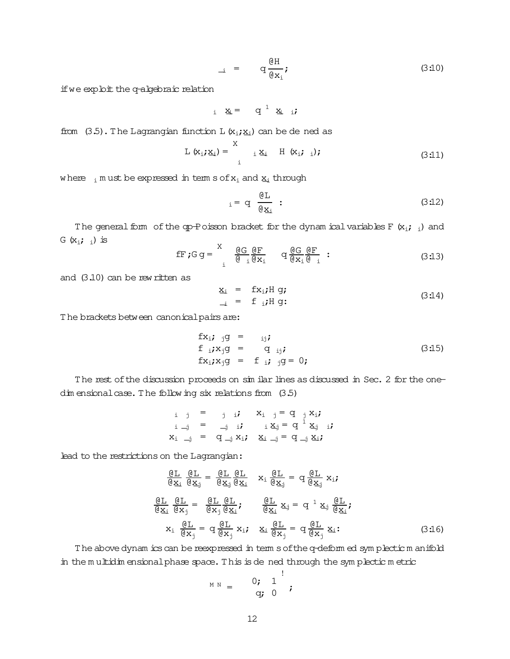$$
\begin{array}{rcl} \n\vdots & = & q \frac{\mathcal{Q}H}{\mathcal{Q}x_1} \n\end{array} \n\tag{3.10}
$$

if we exploit the q-algebraic relation

$$
i \times_i = q^1 \times_{i} i
$$

from  $(3.5)$ . The Lagrangian function L  $(x_i; x_i)$  can be de ned as

$$
L (x_i; \underline{x}_i) = \begin{cases} x & \text{if } (x_i; i); \\ i & \text{if } (3:11) \end{cases}
$$

where  $_i$  m ust be expressed in term s of  $x_i$  and  $x_i$  through

$$
i = q \frac{\mathfrak{G}L}{\mathfrak{g}_{X_i}} : \tag{3.12}
$$

The general form of the qp-Poisson bracket for the dynam ical variables F  $(x_i; i)$  and G  $(x_i; i)$  is

$$
\text{fF } \mathbf{G} \mathbf{g} = \begin{cases} \n\frac{\partial \mathbf{G}}{\partial x_1} & \text{if } \mathbf{G} \mathbf{g} = \mathbf{G} \text{ if } \mathbf{G} \mathbf{g} = \mathbf{G} \mathbf{g} \\ \n\frac{\partial \mathbf{G}}{\partial x_1} & \text{if } \mathbf{G} \mathbf{g} = \mathbf{G} \text{ if } \mathbf{G} \mathbf{g} = \mathbf{G} \text{ if } \mathbf{G} \mathbf{g} = \mathbf{G} \text{ if } \mathbf{G} \mathbf{g} = \mathbf{G} \text{ if } \mathbf{G} \mathbf{g} = \mathbf{G} \text{ if } \mathbf{G} \mathbf{g} = \mathbf{G} \text{ if } \mathbf{G} \mathbf{g} = \mathbf{G} \text{ if } \mathbf{G} \mathbf{g} = \mathbf{G} \text{ if } \mathbf{G} \mathbf{g} = \mathbf{G} \text{ if } \mathbf{G} \mathbf{g} = \mathbf{G} \text{ if } \mathbf{G} \mathbf{g} = \mathbf{G} \text{ if } \mathbf{G} \mathbf{g} = \mathbf{G} \text{ if } \mathbf{G} \mathbf{g} = \mathbf{G} \text{ if } \mathbf{G} \mathbf{g} = \mathbf{G} \text{ if } \mathbf{G} \mathbf{g} = \mathbf{G} \text{ if } \mathbf{G} \mathbf{g} = \mathbf{G} \text{ if } \mathbf{G} \mathbf{g} = \mathbf{G} \text{ if } \mathbf{G} \mathbf{g} = \mathbf{G} \text{ if } \mathbf{G} \mathbf{g} = \mathbf{G} \text{ if } \mathbf{G} \mathbf{g} = \mathbf{G} \text{ if } \mathbf{G} \mathbf{g} = \mathbf{G} \text{ if } \mathbf{G} \mathbf{g} = \mathbf{G} \text{ if } \mathbf{G} \mathbf{g} = \mathbf{G} \text{ if } \mathbf{G} \mathbf{g} = \mathbf{G} \text{ if } \mathbf{G} \mathbf{g} = \mathbf{G} \text{ if } \mathbf{G} \mathbf{g} = \mathbf{G} \text{ if } \mathbf{G} \mathbf{
$$

and  $(3.10)$  can be rew ritten as

$$
\underline{x}_i = f x_i; H g; \qquad (3:14)
$$

The brackets between canonical pairs are:

$$
fx_i; jg = ij;
$$
  
\n
$$
f_i; x_jg = q_{ij};
$$
  
\n
$$
fx_i; x_jg = f_i; jg = 0;
$$
  
\n(3:15)

The rest of the discussion proceeds on sim ilar lines as discussed in Sec. 2 for the onedim ensional case. The following six relations from (3.5)

$$
\begin{array}{rcl}\ni & j & = & j & \text{if} & X_i & j = q & j X_i; \\
i & \text{if} & = & \text{if} & i X_j = q^1 X_j & i; \\
X_i & \text{if} & = & q \text{if} & X_i & X_i = q^2 \text{if} \\
\end{array}
$$

lead to the restrictions on the Lagrangian:

$$
\frac{\underline{\theta L}}{\underline{\theta x_i}} \frac{\underline{\theta L}}{\underline{\theta x_j}} = \frac{\underline{\theta L}}{\underline{\theta x_j}} \frac{\underline{\theta L}}{\underline{\theta x_i}} \quad x_i \frac{\underline{\theta L}}{\underline{\theta x_j}} = q \frac{\underline{\theta L}}{\underline{\theta x_j}} x_i;
$$
\n
$$
\frac{\underline{\theta L}}{\underline{\theta x_i}} \frac{\underline{\theta L}}{\underline{\theta x_j}} = \frac{\underline{\theta L}}{\underline{\theta x_j}} \frac{\underline{\theta L}}{\underline{\theta x_i}}; \quad \frac{\underline{\theta L}}{\underline{\theta x_i}} x_j = q^1 x_j \frac{\underline{\theta L}}{\underline{\theta x_i}};
$$
\n
$$
x_i \frac{\underline{\theta L}}{\underline{\theta x_j}} = q \frac{\underline{\theta L}}{\underline{\theta x_j}} x_i; \quad x_i \frac{\underline{\theta L}}{\underline{\theta x_j}} = q \frac{\underline{\theta L}}{\underline{\theta x_j}} x_i.
$$
\n(3.16)

The above dynam ics can be reexpressed in term s of the q-deform ed sym plectic m anifold in the multidim ensional phase space. This is dened through the symplectic metric

$$
{}^{\text{M N}} = \begin{array}{c} 0; & 1 \\ 0; & 0 \end{array};
$$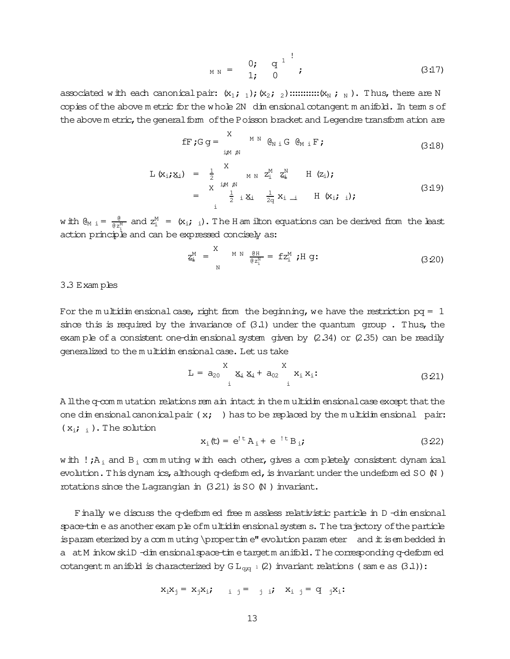$$
M N = \begin{pmatrix} 0; & q^{1} \\ 1; & 0 \end{pmatrix}; \qquad (3.17)
$$

associated with each canonical pair:  $(x_1; 1); (x_2; 2)$  ::::::::::::( $x_N$ ; N). Thus, there are N copies of the above metric for the whole 2N dimensional cotangent manifold. In terms of the above m etric, the general form of the Poisson bracket and Legendre transform ation are

$$
\mathbf{f} \mathbf{F} \mathbf{f} \mathbf{G} \mathbf{g} = \begin{cases} \n\mathbf{X} & \text{if } \mathbf{g}_{N} \in \mathbf{G}_{M} \mathbf{F} \mathbf{F} \\
\mathbf{f} & \text{if } \mathbf{g}_{N} \mathbf{F} \mathbf{F} \mathbf{F} \mathbf{F} \mathbf{F} \mathbf{F} \mathbf{F} \mathbf{F} \mathbf{F} \mathbf{F} \mathbf{F} \mathbf{F} \mathbf{F} \mathbf{F} \mathbf{F} \mathbf{F} \mathbf{F} \mathbf{F} \mathbf{F} \mathbf{F} \mathbf{F} \mathbf{F} \mathbf{F} \mathbf{F} \mathbf{F} \mathbf{F} \mathbf{F} \mathbf{F} \mathbf{F} \mathbf{F} \mathbf{F} \mathbf{F} \mathbf{F} \mathbf{F} \mathbf{F} \mathbf{F} \mathbf{F} \mathbf{F} \mathbf{F} \mathbf{F} \mathbf{F} \mathbf{F} \mathbf{F} \mathbf{F} \mathbf{F} \mathbf{F} \mathbf{F} \mathbf{F} \mathbf{F} \mathbf{F} \mathbf{F} \mathbf{F} \mathbf{F} \mathbf{F} \mathbf{F} \mathbf{F} \mathbf{F} \mathbf{F} \mathbf{F} \mathbf{F} \mathbf{F} \mathbf{F} \mathbf{F} \mathbf{F} \mathbf{F} \mathbf{F} \mathbf{F} \mathbf{F} \mathbf{F} \mathbf{F} \mathbf{F} \mathbf{F} \mathbf{F} \mathbf{F} \mathbf{F} \mathbf{F} \mathbf{F} \mathbf{F} \mathbf{F} \mathbf{F} \mathbf{F} \mathbf{F} \mathbf{F} \mathbf{F} \mathbf{F} \mathbf{F} \mathbf{F} \mathbf{F} \mathbf{F} \mathbf{F} \mathbf{F} \mathbf{F} \mathbf{F} \mathbf{F} \mathbf{F} \mathbf{F} \mathbf{F} \mathbf{F} \mathbf{F} \mathbf{F} \mathbf{F} \mathbf{F} \mathbf{F} \mathbf{F} \mathbf{F} \mathbf{F} \mathbf{F} \mathbf{F} \mathbf{F} \
$$

$$
L (x_i; x_i) = \frac{1}{2} \underset{\text{if } x_i \neq 0}{\underset{\text{if } x_i \neq 0}{\text{if } x_i}} \underset{\text{if } x_i \neq 0}{\text{if } x_i} \underset{\text{if } x_i \neq 0}{\text{if } x_i} \underset{\text{if } x_i \neq 0}{\text{if } x_i} ; \quad \text{if } (x_i; x_i);
$$
\n
$$
= \frac{1}{2} \underset{\text{if } x_i \neq 0}{\underset{\text{if } x_i \neq 0}{\text{if } x_i}} \underset{\text{if } x_i \neq 0}{\text{if } x_i; x_i};
$$
\n
$$
(3.19)
$$

with  $\theta_{M,i} = \frac{\theta}{\theta z_M^M}$  and  $z_i^M = (x_i; i)$ . The H am ilton equations can be derived from the least action principle and can be expressed concisely as:

$$
\underline{z}_{\pm}^{M} = \sum_{N}^{M} N \frac{\theta H}{\theta z_{i}^{N}} = f z_{i}^{M} ; H g: \qquad (3.20)
$$

3.3 Examples

For the multidim ensional case, right from the beginning, we have the restriction  $pq = 1$ since this is required by the invariance of  $(3.1)$  under the quantum group. Thus, the example of a consistent one-dimensional system given by  $(2.34)$  or  $(2.35)$  can be readily generalized to the multidim ensional case. Let us take

$$
L = a_{20} \sum_{i=1}^{X} x_{i} x_{i} + a_{02} \sum_{i=1}^{X} x_{i} x_{i}
$$
 (3.21)

A ll the q-com mutation relations rem ain intact in the multidim ensional case except that the one dimensional canonical pair  $(x; )$  has to be replaced by the multidimensional pair:  $(x_i; j)$ . The solution

$$
x_i(t) = e^{t} A_i + e^{-t} B_i;
$$
 (3.22)

with  $!A_i$  and  $B_i$  commuting with each other, gives a completely consistent dynamical evolution. This dynamics, although  $q$ -deformed, is invariant under the undeformed SO  $\mu$ ) rotations since the Lagrangian in (3.21) is SO (N) invariant.

Finally we discuss the q-deform ed free m assless relativistic particle in D-dimensional space-time as another example of multidim ensional systems. The trajectory of the particle is param eterized by a commuting \propertime" evolution parameter and it is embedded in a atM inkow skiD -dim ensionalspace-time targetm anifold. The corresponding q-deformed cotangent m anifold is characterized by  $GL_{q,q^{-1}}(2)$  invariant relations (same as  $(3.1)$ ):

$$
x_i x_j = x_j x_i; \qquad i \quad j = j \quad i \quad x_i \quad j = q \quad j x_i;
$$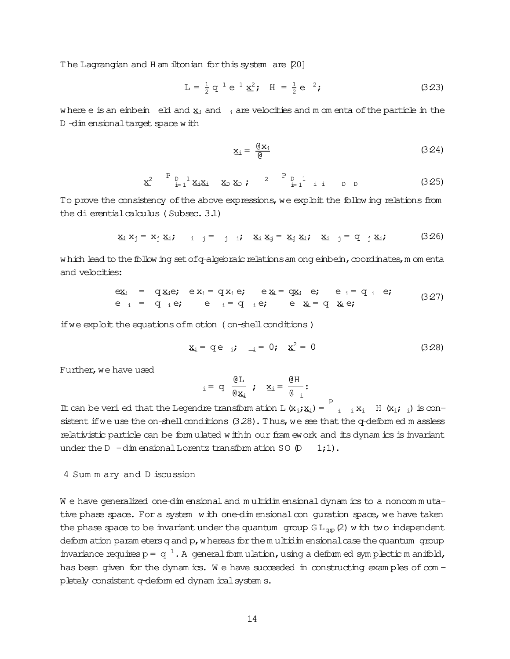The Lagrangian and H am iltonian for this system are [20]

$$
L = \frac{1}{2} q^{1} e^{1} \underline{x}^{2}; \quad H = \frac{1}{2} e^{2}; \quad (3.23)
$$

where e is an einbein eld and  $x_i$  and  $x_i$  are velocities and m om enta of the particle in the D -dim ensional target space with

$$
\underline{x}_{i} = \frac{\underline{\theta} x_{i}}{\underline{\theta}} \tag{3.24}
$$

$$
\underline{\mathbf{x}}^2 \quad \stackrel{\text{P}}{=} \mathbf{L}^1 \underline{\mathbf{x}}_1 \underline{\mathbf{x}}_2 \quad \underline{\mathbf{x}}_D \underline{\mathbf{x}}_D ; \quad \stackrel{\text{P}}{=} \mathbf{L}^1 \text{ i i } D D
$$
 (3.25)

To prove the consistency of the above expressions, we exploit the follow ing relations from the dierential calculus (Subsec. 3.1)

$$
\underline{x}_i \ \underline{x}_j = \underline{x}_j \ \underline{x}_i; \qquad i \quad j = j \quad i; \quad \underline{x}_i \ \underline{x}_j = \underline{x}_j \ \underline{x}_i; \quad \underline{x}_i \quad j = q \quad j \ \underline{x}_i; \tag{3.26}
$$

which lead to the following set of q-algebraic relations am ong einbein, coordinates, m om enta and velocities:

$$
\begin{array}{rcl}\n\mathbf{e}_{\mathbf{X}_{i}} & = & \mathbf{q}_{\mathbf{X}_{i}}\mathbf{e}; \quad \mathbf{e}_{\mathbf{X}_{i}} = \mathbf{q}_{\mathbf{X}_{i}}\mathbf{e}; \quad \mathbf{e}_{\mathbf{X}_{i}} = \mathbf{q}_{\mathbf{X}_{i}} \quad \mathbf{e}; \quad \mathbf{e}_{i} = \mathbf{q}_{i} \quad \mathbf{e}; \\
\mathbf{e}_{i} & = & \mathbf{q}_{i}\mathbf{e}; \quad \mathbf{e}_{i} = \mathbf{q}_{i}\mathbf{e}; \quad \mathbf{e}_{\mathbf{X}_{i}} = \mathbf{q}_{i}\mathbf{e}; \quad \mathbf{e}_{\mathbf{X}_{i}} = \mathbf{q}_{i}\mathbf{e}; \quad \mathbf{q}_{i} = \mathbf{q}_{i}.\n\end{array} \tag{3.27}
$$

if we exploit the equations of motion (on-shell conditions)

$$
\underline{x}_i = q e_{i} \quad \underline{i} = 0; \quad \underline{x}^2 = 0 \tag{3.28}
$$

Further, we have used

$$
i = d \frac{\mathfrak{g}_{\mathbf{L}}}{\mathfrak{g}_{\mathbf{X}_{\mathbf{i}}}} \; ; \; \mathbf{X}_{\mathbf{i}} = \frac{\mathfrak{g}_{\mathbf{H}}}{\mathfrak{g}_{\mathbf{i}}} ;
$$

It can be veri ed that the Legendre transform ation L  $(x_i, x_i) = \begin{bmatrix} P \\ i & i \end{bmatrix}$  H  $(x_i, i)$  is consistent if we use the on-shell conditions (3.28). Thus, we see that the q-deform ed m assless relativistic particle can be form ulated within our fram ework and its dynam ics is invariant under the  $D - dim$  ensional Lorentz transform ation SO  $(D - dim)$  $1;1)$ .

4 Sum m ary and D iscussion

We have generalized one-dimensional and multidimensional dynamics to a noncommutative phase space. For a system with one-dimensional con quration space, we have taken the phase space to be invariant under the quantum group  $GL_{qp}(2)$  with two independent deform ation param eters q and p, w hereas for the m ultidim ensional case the quantum qroup invariance requires  $p = q^{-1}$ . A general form ulation, using a deform ed symplectic m anifold, has been given for the dynamics. We have succeeded in constructing examples of completely consistent q-deform ed dynam ical system s.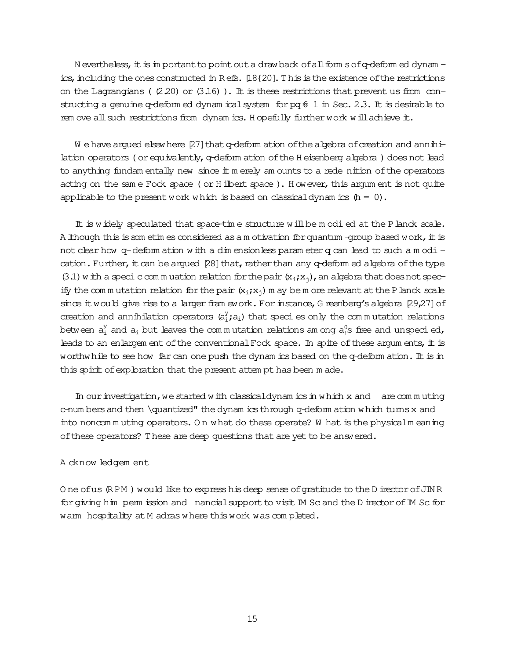N evertheless, it is in portant to point out a drawback of all form s of q-deform ed dynam ics, including the ones constructed in Refs. [18{20]. This is the existence of the restrictions on the Lagrangians ( $(2.20)$  or  $(3.16)$ ). It is these restrictions that prevent us from constructing a genuine q-deform ed dynam ical system for pq  $6\ 1$  in Sec. 2.3. It is desirable to rem ove all such restrictions from dynam ics. Hopefully further work will achieve it.

We have argued elsewhere [27] that q-deform ation of the algebra of creation and annihilation operators (or equivalently, q-deform ation of the H eisenberg algebra) does not lead to anything fundam entally new since it m erely am ounts to a rede nition of the operators acting on the same Fock space (or Hilbert space). However, this argument is not quite applicable to the present work which is based on classical dynamics  $(h = 0)$ .

It is widely speculated that space-time structure will be modied at the P lanck scale. A lithough this is som etim es considered as a m otivation for quantum -group based work, it is not clear how q-deform ation with a dim ensionless parameter q can lead to such a modi cation. Further, it can be argued [28] that, rather than any q-deform ed algebra of the type (3.1) with a specic commutation relation for the pair  $(x_i, x_i)$ , an algebra that does not specify the commutation relation for the pair  $(x_i, x_i)$  m ay be m ore relevant at the P lanck scale since it would give rise to a larger fram ework. For instance, G reenberg's algebra [29,27] of creation and annihilation operators  $(a_i^y; a_i)$  that species only the commutation relations between  $a_i^y$  and  $a_i$  but leaves the commutation relations among  $a_i^0$ s free and unspecied, leads to an enlargem ent of the conventional Fock space. In spite of these argum ents, it is worthwhile to see how far can one push the dynam ics based on the q-deform ation. It is in this spirit of exploration that the present attempt has been made.

In our investigation, we started with classical dynamics in which  $x$  and are commuting c-num bers and then \quantized" the dynam ics through q-deform ation which turns x and into noncommuting operators. On what do these operate? W hat is the physicalm eaning of these operators? These are deep questions that are yet to be answered.

# A cknow ledgem ent

One of us (RPM) would like to express his deep sense of gratitude to the D irector of JINR for giving him permission and nancial support to visit IM Sc and the D irector of IM Sc for warm hospitality at M adras where this work was completed.